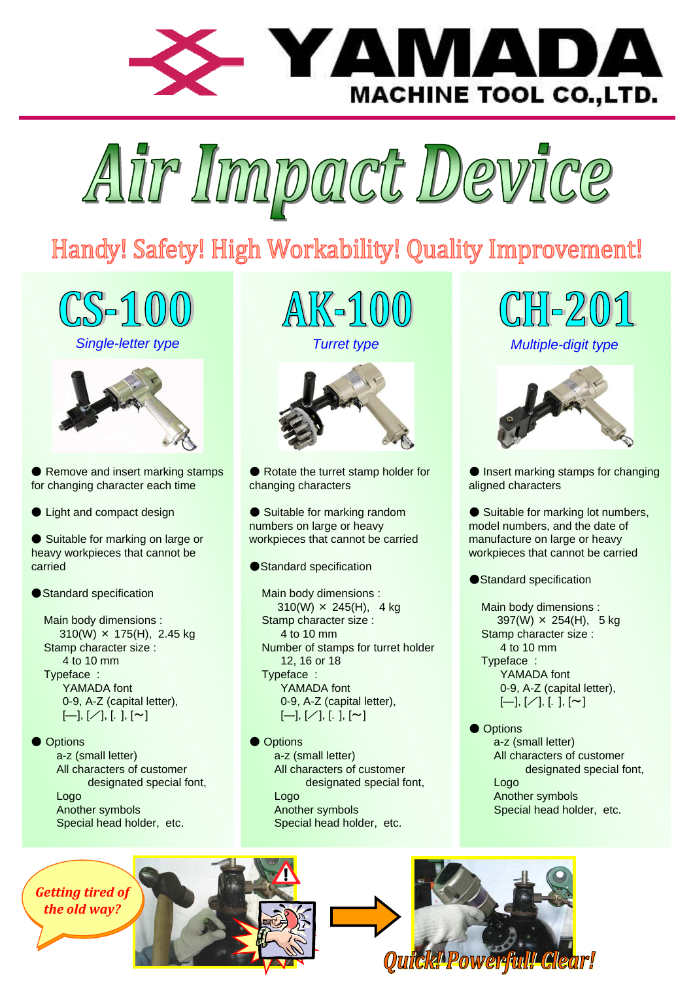



## Handy! Safety! High Workability! Quality Improvement!









● Remove and insert marking stamps for changing character each time

● Light and compact design

● Suitable for marking on large or heavy workpieces that cannot be carried

● Standard specification

Main body dimensions : 310(W) × 175(H), 2.45 kg Stamp character size : 4 to 10 mm Typeface : YAMADA font 0-9, A-Z (capital letter),  $[-], [\angle], [., [\sim]$ 

● Options a-z (small letter) All characters of customer designated special font, Logo Another symbols Special head holder, etc.

<u>AIK-100</u>





● Rotate the turret stamp holder for changing characters

● Suitable for marking random numbers on large or heavy workpieces that cannot be carried

●Standard specification

Main body dimensions :  $310(W) \times 245(H)$ , 4 kg Stamp character size : 4 to 10 mm Number of stamps for turret holder 12, 16 or 18 Typeface : YAMADA font 0-9, A-Z (capital letter),  $[-], [\angle], [.] , [\sim]$ 

● Options a-z (small letter) All characters of customer designated special font, Logo Another symbols Special head holder, etc.

 $201$ 

Single-letter type Turret type Turret type Multiple-digit type



● Insert marking stamps for changing aligned characters

● Suitable for marking lot numbers, model numbers, and the date of manufacture on large or heavy workpieces that cannot be carried

●Standard specification

Main body dimensions :  $397(W) \times 254(H)$ , 5 kg Stamp character size : 4 to 10 mm Typeface : YAMADA font 0-9, A-Z (capital letter),  $[-]$ ,  $[\angle]$ ,  $[.$   $], [\sim]$ 

● Options a-z (small letter) All characters of customer designated special font, Logo Another symbols Special head holder, etc.

Getting tired of the old way?